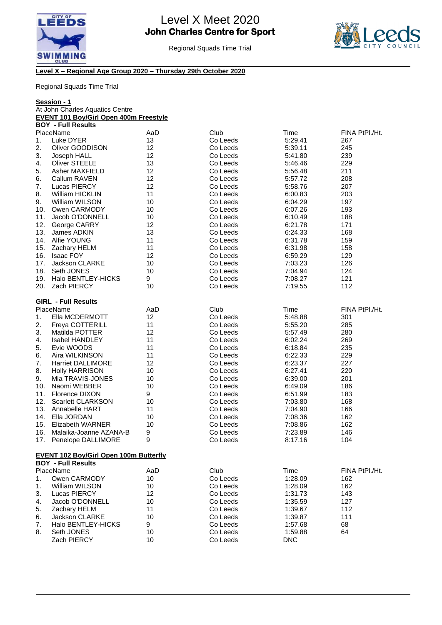



## **Level X – Regional Age Group 2020 – Thursday 29th October 2020**

|                                 | <u>Session - 1</u>                            |          |                      |                    |                |
|---------------------------------|-----------------------------------------------|----------|----------------------|--------------------|----------------|
| At John Charles Aquatics Centre |                                               |          |                      |                    |                |
|                                 | <b>EVENT 101 Boy/Girl Open 400m Freestyle</b> |          |                      |                    |                |
|                                 | <b>BOY - Full Results</b>                     |          |                      |                    |                |
|                                 | PlaceName                                     | AaD      | Club                 | Time               | FINA PtPI./Ht. |
| 1.                              | Luke DYER                                     | 13<br>12 | Co Leeds<br>Co Leeds | 5:29.41<br>5:39.11 | 267            |
| 2.                              | Oliver GOODISON                               |          |                      |                    | 245            |
| 3.                              | Joseph HALL                                   | 12       | Co Leeds             | 5:41.80            | 239            |
| 4.                              | <b>Oliver STEELE</b>                          | 13       | Co Leeds             | 5:46.46            | 229            |
| 5.                              | <b>Asher MAXFIELD</b>                         | 12       | Co Leeds             | 5:56.48            | 211            |
| 6.                              | Callum RAVEN                                  | 12       | Co Leeds             | 5:57.72            | 208            |
| 7.                              | Lucas PIERCY                                  | 12       | Co Leeds             | 5:58.76            | 207            |
| 8.                              | <b>William HICKLIN</b>                        | 11       | Co Leeds             | 6:00.83            | 203            |
| 9.                              | <b>William WILSON</b>                         | 10       | Co Leeds             | 6:04.29            | 197            |
|                                 | 10. Owen CARMODY                              | 10       | Co Leeds             | 6:07.26            | 193            |
| 11.                             | Jacob O'DONNELL                               | 10       | Co Leeds             | 6:10.49            | 188            |
| 12.                             | George CARRY                                  | 12       | Co Leeds             | 6:21.78            | 171            |
| 13.                             | James ADKIN                                   | 13       | Co Leeds             | 6:24.33            | 168            |
|                                 | 14. Alfie YOUNG                               | 11       | Co Leeds             | 6:31.78            | 159            |
| 15.                             | Zachary HELM                                  | 11       | Co Leeds             | 6:31.98            | 158            |
| 16.                             | <b>Isaac FOY</b>                              | 12       | Co Leeds             | 6:59.29            | 129            |
| 17.                             | <b>Jackson CLARKE</b>                         | 10       | Co Leeds             | 7:03.23            | 126            |
| 18.                             | Seth JONES                                    | 10       | Co Leeds             | 7:04.94            | 124            |
| 19.                             | Halo BENTLEY-HICKS                            | 9        | Co Leeds             | 7:08.27            | 121            |
| 20.                             | Zach PIERCY                                   | 10       | Co Leeds             | 7:19.55            | 112            |
|                                 | <b>GIRL - Full Results</b>                    |          |                      |                    |                |
|                                 | PlaceName                                     | AaD      | Club                 | Time               | FINA PtPI./Ht. |
| 1.                              | Ella MCDERMOTT                                | 12       | Co Leeds             | 5:48.88            | 301            |
| 2.                              | <b>Freya COTTERILL</b>                        | 11       | Co Leeds             | 5:55.20            | 285            |
| 3.                              | Matilda POTTER                                | 12       | Co Leeds             | 5:57.49            | 280            |
| 4.                              | <b>Isabel HANDLEY</b>                         | 11       | Co Leeds             | 6:02.24            | 269            |
| 5.                              | Evie WOODS                                    | 11       | Co Leeds             | 6:18.84            | 235            |
| 6.                              | Aira WILKINSON                                | 11       | Co Leeds             | 6:22.33            | 229            |
| 7.                              | <b>Harriet DALLIMORE</b>                      | 12       | Co Leeds             | 6:23.37            | 227            |
| 8.                              | <b>Holly HARRISON</b>                         | 10       | Co Leeds             | 6:27.41            | 220            |
| 9.                              | Mia TRAVIS-JONES                              | 10       | Co Leeds             | 6:39.00            | 201            |
| 10.                             | Naomi WEBBER                                  | 10       | Co Leeds             | 6:49.09            | 186            |
| 11.                             | <b>Florence DIXON</b>                         | 9        | Co Leeds             | 6:51.99            | 183            |
| 12.                             | <b>Scarlett CLARKSON</b>                      | 10       | Co Leeds             | 7:03.80            | 168            |
| 13.                             | Annabelle HART                                | 11       | Co Leeds             | 7:04.90            | 166            |
| 14.                             | Ella JORDAN                                   | 10       | Co Leeds             | 7:08.36            | 162            |
| 15.                             | Elizabeth WARNER                              | 10       | Co Leeds             | 7:08.86            | 162            |
| 16.                             | Malaika-Joanne AZANA-B                        | 9        | Co Leeds             | 7:23.89            | 146            |
| 17.                             | Penelope DALLIMORE                            | 9        | Co Leeds             | 8:17.16            | 104            |
|                                 | <b>EVENT 102 Boy/Girl Open 100m Butterfly</b> |          |                      |                    |                |
|                                 | <b>BOY - Full Results</b>                     |          |                      |                    |                |
|                                 | PlaceName                                     | AaD      | Club                 | Time               | FINA PtPI./Ht. |
| 1.                              | Owen CARMODY                                  | 10       | Co Leeds             | 1:28.09            | 162            |
| 1.                              | William WILSON                                | 10       | Co Leeds             | 1:28.09            | 162            |
| 3.                              | Lucas PIERCY                                  | 12       | Co Leeds             | 1:31.73            | 143            |
| 4.                              | Jacob O'DONNELL                               | 10       | Co Leeds             | 1:35.59            | 127            |
| 5.                              | Zachary HELM                                  | 11       | Co Leeds             | 1:39.67            | 112            |
| 6.                              | Jackson CLARKE                                | 10       | Co Leeds             | 1:39.87            | 111            |
| 7.                              | Halo BENTLEY-HICKS                            | 9        | Co Leeds             | 1:57.68            | 68             |
| 8.                              | Seth JONES                                    | 10       | Co Leeds             | 1:59.88            | 64             |
|                                 | Zach PIERCY                                   | 10       | Co Leeds             | <b>DNC</b>         |                |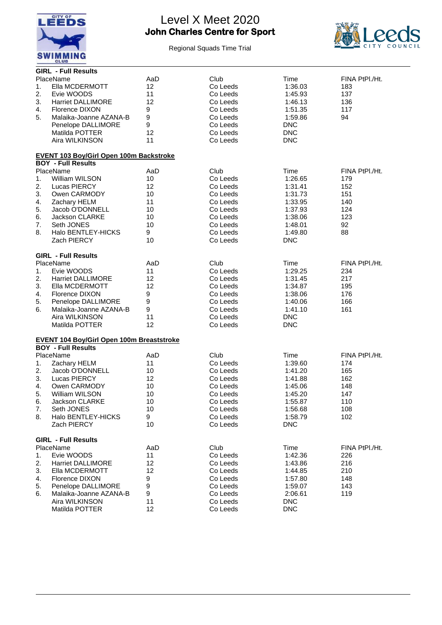



|          | <b>GIRL - Full Results</b>                                                    |     |          |            |                |
|----------|-------------------------------------------------------------------------------|-----|----------|------------|----------------|
|          | PlaceName                                                                     | AaD | Club     | Time       | FINA PtPI./Ht. |
| 1.       | Ella MCDERMOTT                                                                | 12  | Co Leeds | 1:36.03    | 183            |
| 2.       | Evie WOODS                                                                    | 11  | Co Leeds | 1:45.93    | 137            |
| 3.       | <b>Harriet DALLIMORE</b>                                                      | 12  | Co Leeds | 1:46.13    | 136            |
| 4.       | Florence DIXON                                                                | 9   | Co Leeds | 1:51.35    | 117            |
| 5.       | Malaika-Joanne AZANA-B                                                        | 9   | Co Leeds | 1:59.86    | 94             |
|          | Penelope DALLIMORE                                                            | 9   | Co Leeds | <b>DNC</b> |                |
|          | Matilda POTTER                                                                | 12  | Co Leeds | <b>DNC</b> |                |
|          | Aira WILKINSON                                                                | 11  | Co Leeds | <b>DNC</b> |                |
|          |                                                                               |     |          |            |                |
|          | <b>EVENT 103 Boy/Girl Open 100m Backstroke</b>                                |     |          |            |                |
|          | <b>BOY - Full Results</b>                                                     |     |          |            |                |
|          | PlaceName                                                                     | AaD | Club     | Time       | FINA PtPI./Ht. |
| 1.       | William WILSON                                                                | 10  | Co Leeds | 1:26.65    | 179            |
| 2.       | Lucas PIERCY                                                                  | 12  | Co Leeds | 1:31.41    | 152            |
| 3.       | Owen CARMODY                                                                  | 10  | Co Leeds | 1:31.73    | 151            |
| 4.       | Zachary HELM                                                                  | 11  | Co Leeds | 1:33.95    | 140            |
| 5.       | Jacob O'DONNELL                                                               | 10  | Co Leeds | 1:37.93    | 124            |
| 6.       | Jackson CLARKE                                                                | 10  | Co Leeds | 1:38.06    | 123            |
| 7.       | Seth JONES                                                                    | 10  | Co Leeds | 1:48.01    | 92             |
| 8.       | Halo BENTLEY-HICKS                                                            | 9   | Co Leeds | 1:49.80    | 88             |
|          | Zach PIERCY                                                                   | 10  | Co Leeds | <b>DNC</b> |                |
|          |                                                                               |     |          |            |                |
|          | <b>GIRL - Full Results</b>                                                    |     |          |            |                |
|          | PlaceName                                                                     | AaD | Club     | Time       | FINA PtPI./Ht. |
| 1.       | Evie WOODS                                                                    | 11  | Co Leeds | 1:29.25    | 234            |
| 2.       | <b>Harriet DALLIMORE</b>                                                      | 12  | Co Leeds | 1:31.45    | 217            |
| 3.       | Ella MCDERMOTT                                                                | 12  | Co Leeds | 1:34.87    | 195            |
| 4.       | Florence DIXON                                                                | 9   | Co Leeds | 1:38.06    | 176            |
| 5.       | Penelope DALLIMORE                                                            | 9   | Co Leeds | 1:40.06    | 166            |
| 6.       | Malaika-Joanne AZANA-B                                                        | 9   | Co Leeds | 1:41.10    | 161            |
|          | Aira WILKINSON                                                                | 11  | Co Leeds | <b>DNC</b> |                |
|          | Matilda POTTER                                                                | 12  | Co Leeds | <b>DNC</b> |                |
|          |                                                                               |     |          |            |                |
|          | <b>EVENT 104 Boy/Girl Open 100m Breaststroke</b><br><b>BOY - Full Results</b> |     |          |            |                |
|          | PlaceName                                                                     | AaD | Club     | Time       | FINA PtPI./Ht. |
| 1.       | Zachary HELM                                                                  | 11  | Co Leeds | 1:39.60    | 174            |
| 2.       | Jacob O'DONNELL                                                               | 10  | Co Leeds | 1:41.20    | 165            |
| 3.       | Lucas PIERCY                                                                  | 12  | Co Leeds | 1:41.88    | 162            |
|          | Owen CARMODY                                                                  | 10  | Co Leeds | 1:45.06    | 148            |
| 4.<br>5. | <b>William WILSON</b>                                                         | 10  | Co Leeds | 1:45.20    | 147            |
| 6.       | Jackson CLARKE                                                                | 10  | Co Leeds | 1:55.87    | 110            |
| 7.       | Seth JONES                                                                    | 10  | Co Leeds | 1:56.68    | 108            |
| 8.       | Halo BENTLEY-HICKS                                                            | 9   | Co Leeds | 1:58.79    | 102            |
|          | Zach PIERCY                                                                   | 10  | Co Leeds | <b>DNC</b> |                |
|          |                                                                               |     |          |            |                |
|          | <b>GIRL - Full Results</b>                                                    |     |          |            |                |
|          | PlaceName                                                                     | AaD | Club     | Time       | FINA PtPI./Ht. |
| 1.       | Evie WOODS                                                                    | 11  | Co Leeds | 1:42.36    | 226            |
| 2.       | <b>Harriet DALLIMORE</b>                                                      | 12  | Co Leeds | 1:43.86    | 216            |
| 3.       | Ella MCDERMOTT                                                                | 12  | Co Leeds | 1:44.85    | 210            |
| 4.       | <b>Florence DIXON</b>                                                         | 9   | Co Leeds | 1:57.80    | 148            |
| 5.       | Penelope DALLIMORE                                                            | 9   | Co Leeds | 1:59.07    | 143            |
| 6.       | Malaika-Joanne AZANA-B                                                        | 9   | Co Leeds | 2:06.61    | 119            |
|          | Aira WILKINSON                                                                | 11  | Co Leeds | <b>DNC</b> |                |
|          | Matilda POTTER                                                                | 12  | Co Leeds | <b>DNC</b> |                |
|          |                                                                               |     |          |            |                |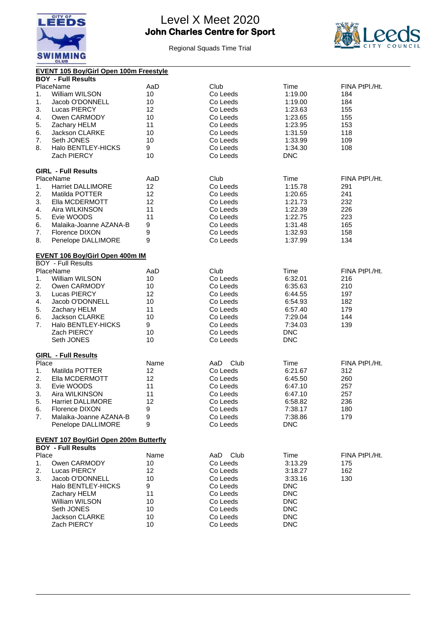



|       | <b>EVENT 105 Boy/Girl Open 100m Freestyle</b>                              |                  |             |            |                |
|-------|----------------------------------------------------------------------------|------------------|-------------|------------|----------------|
|       | <b>BOY - Full Results</b>                                                  |                  |             |            |                |
|       | PlaceName                                                                  | AaD              | Club        | Time       | FINA PtPI./Ht. |
| 1.    | William WILSON                                                             | 10               | Co Leeds    | 1:19.00    | 184            |
| 1.    | Jacob O'DONNELL                                                            | 10               | Co Leeds    | 1:19.00    | 184            |
| 3.    | <b>Lucas PIERCY</b>                                                        | 12               | Co Leeds    | 1:23.63    | 155            |
| 4.    | Owen CARMODY                                                               | 10               | Co Leeds    | 1:23.65    | 155            |
| 5.    | Zachary HELM                                                               | 11               | Co Leeds    | 1:23.95    | 153            |
| 6.    | <b>Jackson CLARKE</b>                                                      | 10               | Co Leeds    | 1:31.59    | 118            |
| 7.    | Seth JONES                                                                 | 10               | Co Leeds    | 1:33.99    | 109            |
| 8.    | Halo BENTLEY-HICKS                                                         | 9                | Co Leeds    | 1:34.30    | 108            |
|       | Zach PIERCY                                                                | 10               | Co Leeds    | <b>DNC</b> |                |
|       |                                                                            |                  |             |            |                |
|       | <b>GIRL - Full Results</b>                                                 |                  |             |            |                |
|       | PlaceName                                                                  | AaD              | Club        | Time       | FINA PtPI./Ht. |
| 1.    | <b>Harriet DALLIMORE</b>                                                   | 12               | Co Leeds    | 1:15.78    | 291            |
| 2.    | Matilda POTTER                                                             | 12               | Co Leeds    | 1:20.65    | 241            |
| 3.    | Ella MCDERMOTT                                                             | 12               | Co Leeds    | 1:21.73    | 232            |
| 4.    | Aira WILKINSON                                                             | 11               | Co Leeds    | 1:22.39    | 226            |
| 5.    | Evie WOODS                                                                 | 11               | Co Leeds    | 1:22.75    | 223            |
| 6.    | Malaika-Joanne AZANA-B                                                     | 9                | Co Leeds    |            | 165            |
|       |                                                                            |                  | Co Leeds    | 1:31.48    |                |
| 7.    | <b>Florence DIXON</b>                                                      | 9                |             | 1:32.93    | 158            |
| 8.    | Penelope DALLIMORE                                                         | 9                | Co Leeds    | 1:37.99    | 134            |
|       | EVENT 106 Boy/Girl Open 400m IM                                            |                  |             |            |                |
|       | <b>BOY - Full Results</b>                                                  |                  |             |            |                |
|       | PlaceName                                                                  | AaD              | Club        | Time       | FINA PtPI./Ht. |
| 1.    | William WILSON                                                             | 10               | Co Leeds    | 6:32.01    | 216            |
| 2.    | Owen CARMODY                                                               | 10               | Co Leeds    | 6:35.63    | 210            |
| 3.    | Lucas PIERCY                                                               | 12               | Co Leeds    | 6:44.55    | 197            |
|       |                                                                            |                  |             |            |                |
| 4.    | Jacob O'DONNELL                                                            | 10               | Co Leeds    | 6:54.93    | 182            |
| 5.    | Zachary HELM                                                               | 11               | Co Leeds    | 6:57.40    | 179            |
| 6.    | Jackson CLARKE                                                             | 10               | Co Leeds    | 7:29.04    | 144            |
| 7.    | Halo BENTLEY-HICKS                                                         | 9                | Co Leeds    | 7:34.03    | 139            |
|       | Zach PIERCY                                                                | 10               | Co Leeds    | <b>DNC</b> |                |
|       | Seth JONES                                                                 | 10               | Co Leeds    | <b>DNC</b> |                |
|       |                                                                            |                  |             |            |                |
|       | <b>GIRL - Full Results</b>                                                 |                  |             |            |                |
| Place |                                                                            | Name             | AaD<br>Club | Time       | FINA PtPI./Ht. |
| 1.    | Matilda POTTER                                                             | 12               | Co Leeds    | 6:21.67    | 312            |
| 2.    | Ella MCDERMOTT                                                             | 12               | Co Leeds    | 6:45.50    | 260            |
| 3.    | Evie WOODS                                                                 | 11               | Co Leeds    | 6:47.10    | 257            |
| 3.    | Aira WILKINSON                                                             | 11               | Co Leeds    | 6:47.10    | 257            |
| 5.    | <b>Harriet DALLIMORE</b>                                                   | 12               | Co Leeds    | 6:58.82    | 236            |
| 6.    | Florence DIXON                                                             | 9                | Co Leeds    | 7:38.17    | 180            |
| 7.    | Malaika-Joanne AZANA-B                                                     | $\boldsymbol{9}$ | Co Leeds    | 7:38.86    | 179            |
|       | Penelope DALLIMORE                                                         | 9                | Co Leeds    | <b>DNC</b> |                |
|       |                                                                            |                  |             |            |                |
|       | <b>EVENT 107 Boy/Girl Open 200m Butterfly</b><br><b>BOY - Full Results</b> |                  |             |            |                |
|       |                                                                            |                  |             |            |                |
| Place |                                                                            | Name             | Club<br>AaD | Time       | FINA PtPI./Ht. |
| 1.    | Owen CARMODY                                                               | 10               | Co Leeds    | 3:13.29    | 175            |
| 2.    | Lucas PIERCY                                                               | 12               | Co Leeds    | 3:18.27    | 162            |
| 3.    | Jacob O'DONNELL                                                            | 10               | Co Leeds    | 3:33.16    | 130            |
|       | Halo BENTLEY-HICKS                                                         | 9                | Co Leeds    | <b>DNC</b> |                |
|       | Zachary HELM                                                               | 11               | Co Leeds    | <b>DNC</b> |                |
|       | William WILSON                                                             | 10               | Co Leeds    | <b>DNC</b> |                |
|       | Seth JONES                                                                 | 10               | Co Leeds    | <b>DNC</b> |                |
|       | Jackson CLARKE                                                             | 10               | Co Leeds    | <b>DNC</b> |                |
|       | Zach PIERCY                                                                | 10               | Co Leeds    | <b>DNC</b> |                |
|       |                                                                            |                  |             |            |                |